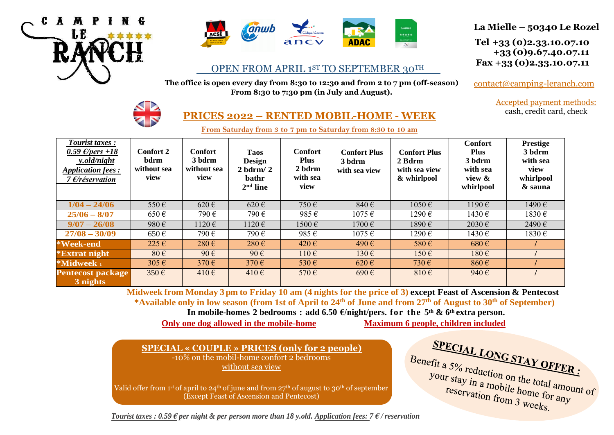



#### OPEN FROM APRIL 1ST TO SEPTEMBER 30TH  $\overline{a}$

**The office is open every day from 8:30 to 12:30 and from 2 to 7 pm (off-season) From 8:30 to 7:30 pm (in July and August).**



 **Tel +33 (0)2.33.10.07.10 +33 (0)9.67.40.07.11 Fax +33 (0)2.33.10.07.11**

[contact@camping-leranch.com](mailto:contact@camping-leranch.com)

Accepted payment methods: cash, credit card, check



# **PRICES 2022 – RENTED MOBIL-HOME - WEEK**

**From Saturday from 3 to 7 pm to Saturday from 8:30 to 10 am**

| <b>Tourist taxes:</b><br>0.59 $\epsilon$ /pers +18<br>y.old/night<br><b>Application fees:</b><br>7 $E$ /réservation | Confort 2<br>bdrm<br>without sea<br>view | <b>Confort</b><br>3 bdrm<br>without sea<br>view | <b>Taos</b><br><b>Design</b><br>$2$ bdrm/ $2$<br><b>bathr</b><br>$2nd$ line | <b>Confort</b><br><b>Plus</b><br>2 bdrm<br>with sea<br>view | <b>Confort Plus</b><br>3 bdrm<br>with sea view | <b>Confort Plus</b><br>2 Bdrm<br>with sea view<br>& whirlpool | <b>Confort</b><br><b>Plus</b><br>3 bdrm<br>with sea<br>view &<br>whirlpool | <b>Prestige</b><br>3 bdrm<br>with sea<br>view<br>whirlpool<br>& sauna |
|---------------------------------------------------------------------------------------------------------------------|------------------------------------------|-------------------------------------------------|-----------------------------------------------------------------------------|-------------------------------------------------------------|------------------------------------------------|---------------------------------------------------------------|----------------------------------------------------------------------------|-----------------------------------------------------------------------|
| $1/04 - 24/06$                                                                                                      | 550€                                     | $620 \text{ } \in$                              | $620 \in$                                                                   | 750€                                                        | 840€                                           | 1050€                                                         | 1190€                                                                      | 1490€                                                                 |
| $25/06 - 8/07$                                                                                                      | $650 \in$                                | 790€                                            | 790€                                                                        | 985€                                                        | $1075 \in$                                     | 1290€                                                         | 1430€                                                                      | 1830€                                                                 |
| $9/07 - 26/08$                                                                                                      | 980€                                     | 1120€                                           | 1120€                                                                       | 1500€                                                       | 1700€                                          | 1890€                                                         | 2030€                                                                      | 2490€                                                                 |
| $27/08 - 30/09$                                                                                                     | $650 \,\mathrm{E}$                       | 790€                                            | 790€                                                                        | 985€                                                        | $1075 \in$                                     | 1290€                                                         | 1430€                                                                      | 1830€                                                                 |
| *Week-end                                                                                                           | $225 \in$                                | $280 \text{ } \in$                              | $280 \text{ } \in$                                                          | 420 $\epsilon$                                              | 490 $\epsilon$                                 | $580 \in$                                                     | $680 \text{ } \in$                                                         |                                                                       |
| <i><b>*Extrat night</b></i>                                                                                         | $80 \in$                                 | $90 \in$                                        | $90 \in$                                                                    | $110 \in$                                                   | $130 \in$                                      | $150 \in$                                                     | $180 \in$                                                                  |                                                                       |
| *Midweek 1                                                                                                          | $305 \in$                                | 370 $\varepsilon$                               | 370 $\varepsilon$                                                           | $530 \in$                                                   | $620 \text{ } \in$                             | 730 $\varepsilon$                                             | $860 \text{ } \in$                                                         |                                                                       |
| <b>Pentecost package</b><br>3 nights                                                                                | $350 \in$                                | 410€                                            | 410€                                                                        | 570€                                                        | $690 \in$                                      | $810 \in$                                                     | 940€                                                                       |                                                                       |

 **Midweek from Monday 3 pm to Friday 10 am (4 nights for the price of 3) except Feast of Ascension & Pentecost \*Available only in low season (from 1st of April to 24 th of June and from 27 th of August to 30th of September)** 

 **In mobile-homes 2 bedrooms : add 6.50 €/night/pers. for the 5th & 6th extra person.**

 **Only one dog allowed in the mobile-home Maximum 6 people, children included** 

 **SPECIAL « COUPLE » PRICES (only for 2 people)** -10% on the mobil-home confort 2 bedrooms without sea view

Valid offer from 1st of april to 24th of june and from 27th of august to 30th of september (Except Feast of Ascension and Pentecost)

**SPECIAL LONG STAY OFFER:**<br>efit a 5% reduction on the set of FORER: Benefit a 5% reduction on the total amount of<br>your stay in a mobile home for any reservation from a your stay in a mobile home for any<br>reservation from 3 weeks reservation from 3 weeks.

*Tourist taxes : 0.59 € per night & per person more than 18 y.old. Application fees: 7 € / reservation*